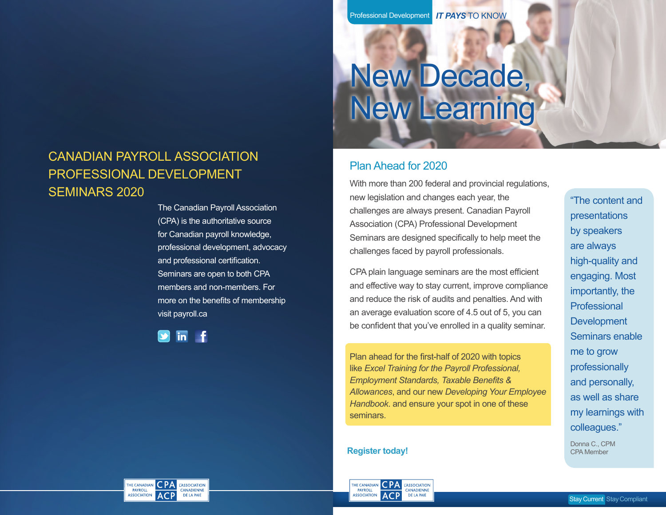# New Decade, New Learning

# CANADIAN PAYROLL ASSOCIATION PROFESSIONAL DEVELOPMENT SEMINARS 2020

The Canadian Payroll Association (CPA) is the authoritative source for Canadian payroll knowledge, professional development, advocacy and professional certification. Seminars are open to both CPA members and non-members. For more on the benefits of membership visit payroll.ca

in

# Plan Ahead for 2020

With more than 200 federal and provincial regulations, new legislation and changes each year, the challenges are always present. Canadian Payroll Association (CPA) Professional Development Seminars are designed specifically to help meet the challenges faced by payroll professionals.

CPA plain language seminars are the most efficient and effective way to stay current, improve compliance and reduce the risk of audits and penalties. And with an average evaluation score of 4.5 out of 5, you can be confident that you've enrolled in a quality seminar.

Plan ahead for the first-half of 2020 with topics like *Excel Training for the Payroll Professional, Employment Standards, Taxable Benefits & Allowances*, and our new *Developing Your Employee Handbook*. and ensure your spot in one of these seminars.

**Register today!** CPA Member



"The content and presentations by speakers are always high-quality and engaging. Most importantly, the Professional **Development** Seminars enable me to grow professionally and personally, as well as share my learnings with colleagues."

Donna C., CPM